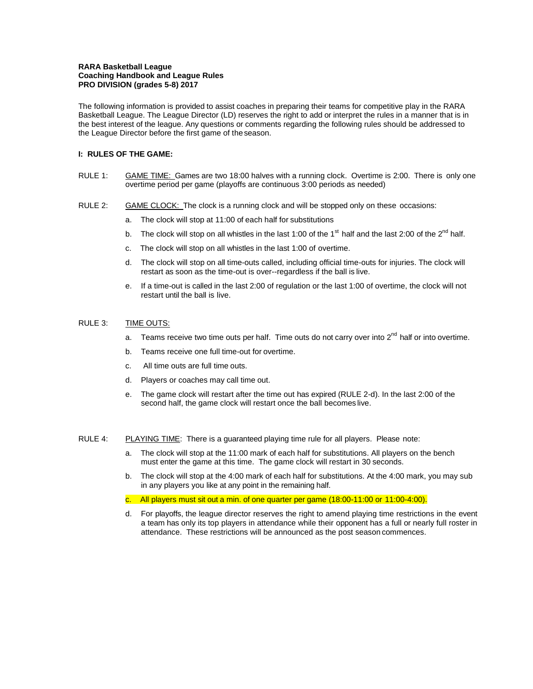### **RARA Basketball League Coaching Handbook and League Rules PRO DIVISION (grades 5-8) 2017**

The following information is provided to assist coaches in preparing their teams for competitive play in the RARA Basketball League. The League Director (LD) reserves the right to add or interpret the rules in a manner that is in the best interest of the league. Any questions or comments regarding the following rules should be addressed to the League Director before the first game of theseason.

# **I: RULES OF THE GAME:**

- RULE 1: GAME TIME: Games are two 18:00 halves with a running clock. Overtime is 2:00. There is only one overtime period per game (playoffs are continuous 3:00 periods as needed)
- RULE 2: GAME CLOCK: The clock is a running clock and will be stopped only on these occasions:
	- a. The clock will stop at 11:00 of each half for substitutions
	- b. The clock will stop on all whistles in the last 1:00 of the 1<sup>st</sup> half and the last 2:00 of the 2<sup>nd</sup> half.
	- c. The clock will stop on all whistles in the last 1:00 of overtime.
	- d. The clock will stop on all time-outs called, including official time-outs for injuries. The clock will restart as soon as the time-out is over--regardless if the ball is live.
	- e. If a time-out is called in the last 2:00 of regulation or the last 1:00 of overtime, the clock will not restart until the ball is live.

# RULE 3: TIME OUTS:

- Teams receive two time outs per half. Time outs do not carry over into 2<sup>nd</sup> half or into overtime.
- b. Teams receive one full time-out for overtime.
- c. All time outs are full time outs.
- d. Players or coaches may call time out.
- e. The game clock will restart after the time out has expired (RULE 2-d). In the last 2:00 of the second half, the game clock will restart once the ball becomes live.

#### RULE 4: PLAYING TIME: There is a guaranteed playing time rule for all players. Please note:

- a. The clock will stop at the 11:00 mark of each half for substitutions. All players on the bench must enter the game at this time. The game clock will restart in 30 seconds.
- b. The clock will stop at the 4:00 mark of each half for substitutions. At the 4:00 mark, you may sub in any players you like at any point in the remaining half.
- c. All players must sit out a min. of one quarter per game (18:00-11:00 or 11:00-4:00).
- d. For playoffs, the league director reserves the right to amend playing time restrictions in the event a team has only its top players in attendance while their opponent has a full or nearly full roster in attendance. These restrictions will be announced as the post season commences.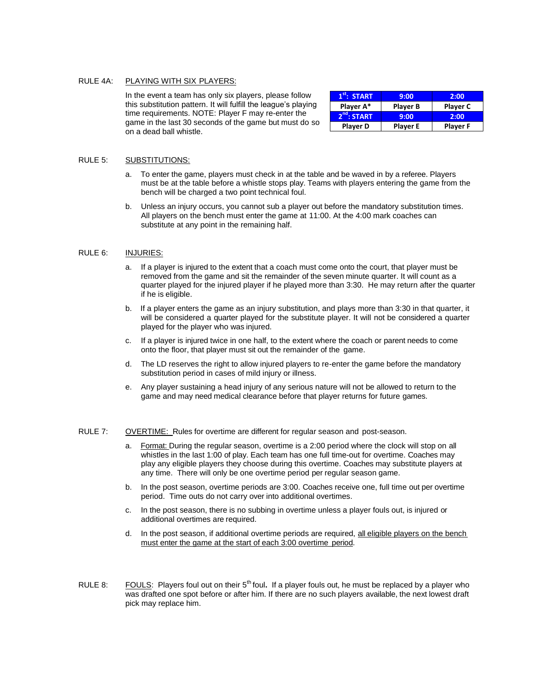### RULE 4A: PLAYING WITH SIX PLAYERS:

In the event a team has only six players, please follow this substitution pattern. It will fulfill the league's playing time requirements. NOTE: Player F may re-enter the game in the last 30 seconds of the game but must do so on a dead ball whistle.

| $1st$ : START           | 9:00            | 2:00            |
|-------------------------|-----------------|-----------------|
| Player A*               | <b>Player B</b> | <b>Player C</b> |
| 2 <sup>nd</sup> : START | 9:00            | 2:00            |
| <b>Player D</b>         | <b>Player E</b> | <b>Player F</b> |

### RULE 5: SUBSTITUTIONS:

- To enter the game, players must check in at the table and be waved in by a referee. Players must be at the table before a whistle stops play. Teams with players entering the game from the bench will be charged a two point technical foul.
- b. Unless an injury occurs, you cannot sub a player out before the mandatory substitution times. All players on the bench must enter the game at 11:00. At the 4:00 mark coaches can substitute at any point in the remaining half.

### RULE 6: INJURIES:

- a. If a player is injured to the extent that a coach must come onto the court, that player must be removed from the game and sit the remainder of the seven minute quarter. It will count as a quarter played for the injured player if he played more than 3:30. He may return after the quarter if he is eligible.
- b. If a player enters the game as an injury substitution, and plays more than 3:30 in that quarter, it will be considered a quarter played for the substitute player. It will not be considered a quarter played for the player who was injured.
- c. If a player is injured twice in one half, to the extent where the coach or parent needs to come onto the floor, that player must sit out the remainder of the game.
- d. The LD reserves the right to allow injured players to re-enter the game before the mandatory substitution period in cases of mild injury or illness.
- e. Any player sustaining a head injury of any serious nature will not be allowed to return to the game and may need medical clearance before that player returns for future games.

#### RULE 7: OVERTIME: Rules for overtime are different for regular season and post-season.

- a. Format: During the regular season, overtime is a 2:00 period where the clock will stop on all whistles in the last 1:00 of play. Each team has one full time-out for overtime. Coaches may play any eligible players they choose during this overtime. Coaches may substitute players at any time. There will only be one overtime period per regular season game.
- b. In the post season, overtime periods are 3:00. Coaches receive one, full time out per overtime period. Time outs do not carry over into additional overtimes.
- c. In the post season, there is no subbing in overtime unless a player fouls out, is injured or additional overtimes are required.
- d. In the post season, if additional overtime periods are required, all eligible players on the bench must enter the game at the start of each 3:00 overtime period.
- RULE 8: FOULS: Players foul out on their 5<sup>th</sup> foul. If a player fouls out, he must be replaced by a player who was drafted one spot before or after him. If there are no such players available, the next lowest draft pick may replace him.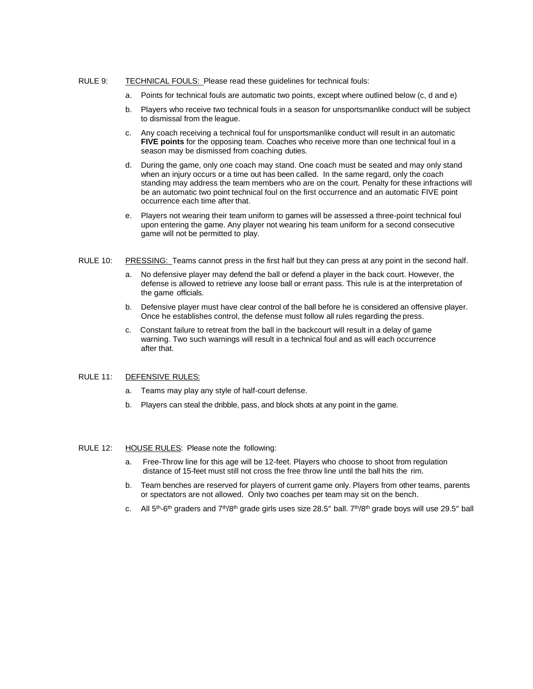### RULE 9: TECHNICAL FOULS: Please read these guidelines for technical fouls:

- a. Points for technical fouls are automatic two points, except where outlined below (c, d and e)
- b. Players who receive two technical fouls in a season for unsportsmanlike conduct will be subject to dismissal from the league.
- c. Any coach receiving a technical foul for unsportsmanlike conduct will result in an automatic **FIVE points** for the opposing team. Coaches who receive more than one technical foul in a season may be dismissed from coaching duties.
- d. During the game, only one coach may stand. One coach must be seated and may only stand when an injury occurs or a time out has been called. In the same regard, only the coach standing may address the team members who are on the court. Penalty for these infractions will be an automatic two point technical foul on the first occurrence and an automatic FIVE point occurrence each time after that.
- e. Players not wearing their team uniform to games will be assessed a three-point technical foul upon entering the game. Any player not wearing his team uniform for a second consecutive game will not be permitted to play.
- RULE 10: PRESSING: Teams cannot press in the first half but they can press at any point in the second half.
	- a. No defensive player may defend the ball or defend a player in the back court. However, the defense is allowed to retrieve any loose ball or errant pass. This rule is at the interpretation of the game officials.
	- b. Defensive player must have clear control of the ball before he is considered an offensive player. Once he establishes control, the defense must follow all rules regarding the press.
	- c. Constant failure to retreat from the ball in the backcourt will result in a delay of game warning. Two such warnings will result in a technical foul and as will each occurrence after that.

### RULE 11: DEFENSIVE RULES:

- a. Teams may play any style of half-court defense.
- b. Players can steal the dribble, pass, and block shots at any point in the game.

# RULE 12: HOUSE RULES: Please note the following:

- a. Free-Throw line for this age will be 12-feet. Players who choose to shoot from regulation distance of 15-feet must still not cross the free throw line until the ball hits the rim.
- b. Team benches are reserved for players of current game only. Players from other teams, parents or spectators are not allowed. Only two coaches per team may sit on the bench.
- c.  $\,$  All 5<sup>th</sup>-6<sup>th</sup> graders and 7<sup>th</sup>/8<sup>th</sup> grade girls uses size 28.5" ball. 7<sup>th</sup>/8<sup>th</sup> grade boys will use 29.5" ball